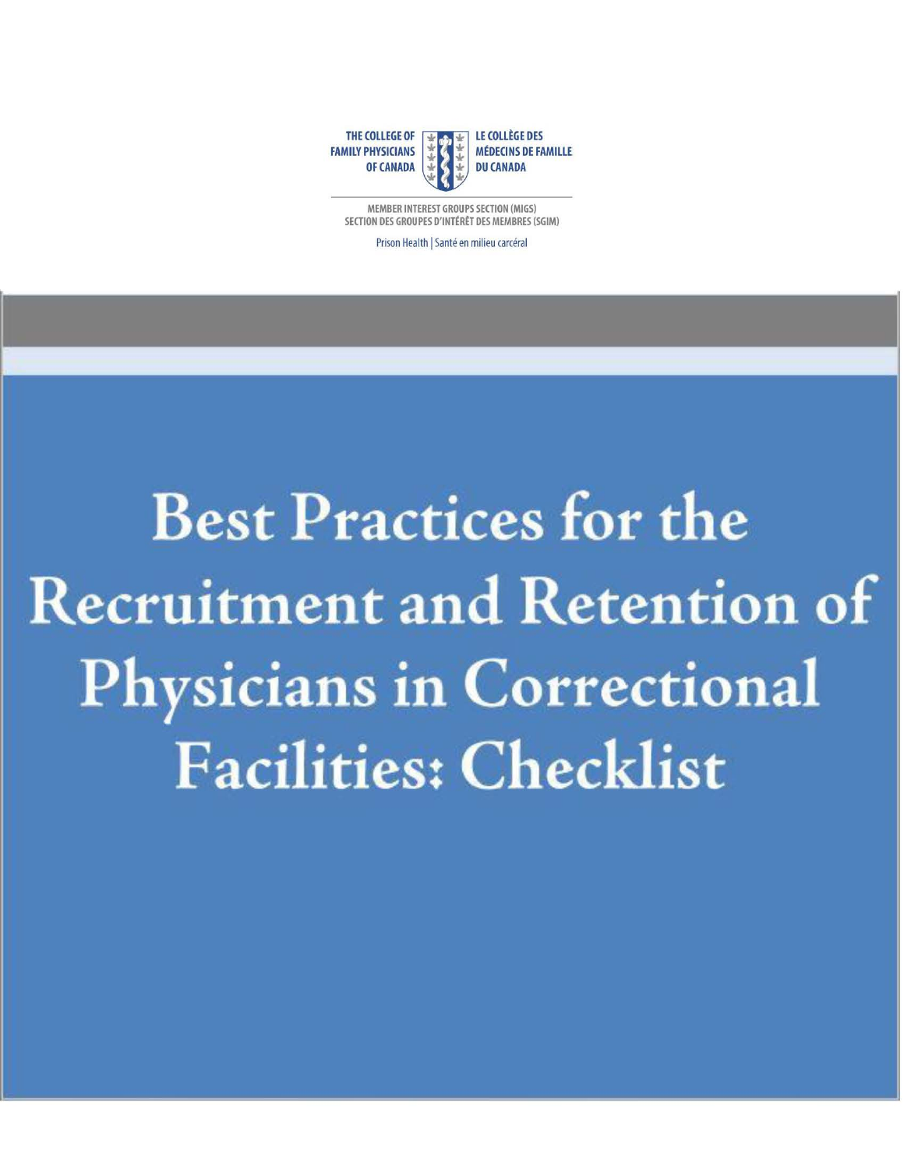

MEMBER INTEREST GROUPS SECTION (MIGS) SECTION DES GROUPES D'INTERET DES MEMBRES (SGIM)

Prison Health | Santé en milieu carcéral

**Best Practices for the Recruitment and Retention of Physicians in Correctional Facilities: Checklist**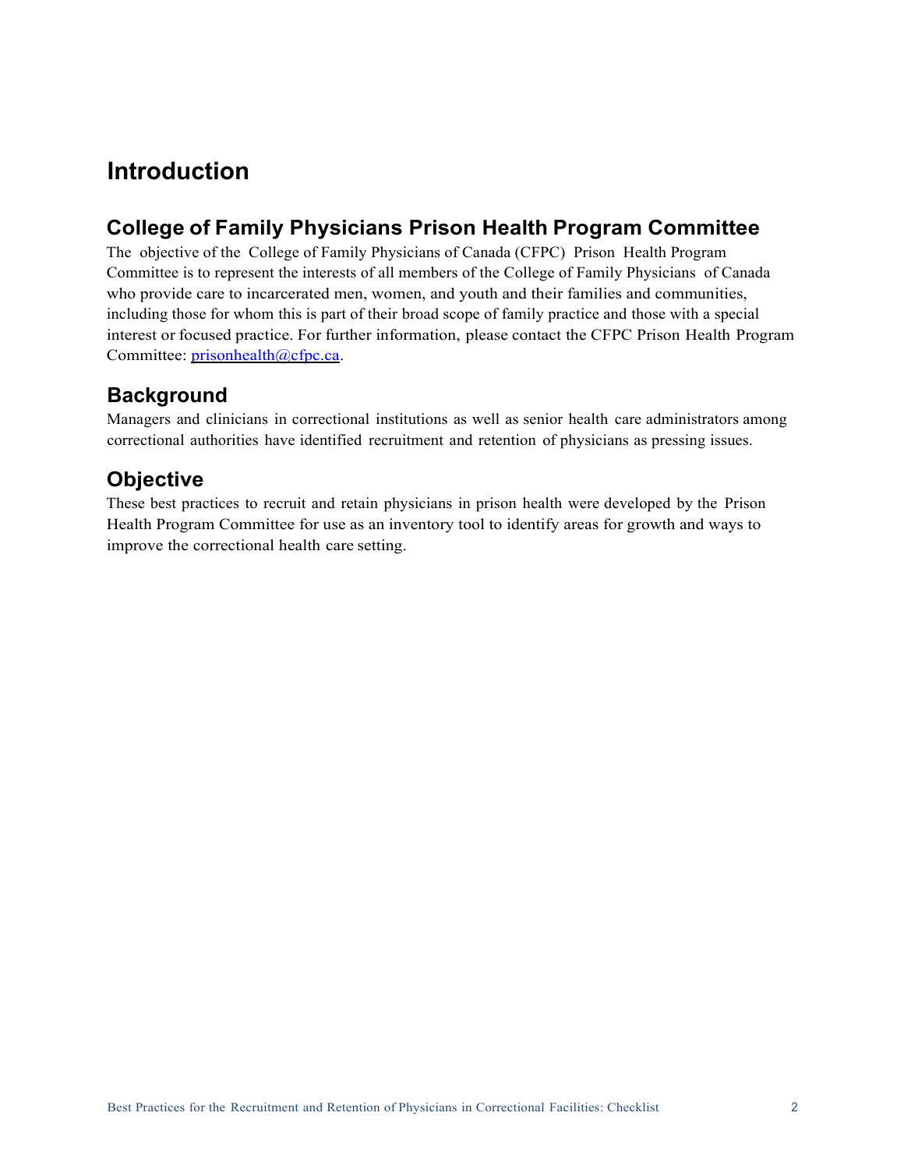# **Introduction**

### **College of Family Physicians Prison Health Program Committee**

 The objective of the College of Family Physicians of Canada (CFPC) Prison Health Program Committee is to represent the interests of all members of the College of Family Physicians of Canada who provide care to incarcerated men, women, and youth and their families and communities, including those for whom this is part of their broad scope of family practice and those with a special interest or focused practice. For further information, please contact the CFPC Prison Health Program Committee: [prisonhealth@cfpc.ca.](mailto:prisonhealth@cfpc.ca)

#### **Background**

Managers and clinicians in correctional institutions as well as senior health care administrators among correctional authorities have identified recruitment and retention of physicians as pressing issues.

#### **Objective**

 Health Program Committee for use as an inventory tool to identify areas for growth and ways to These best practices to recruit and retain physicians in prison health were developed by the Prison improve the correctional health care setting.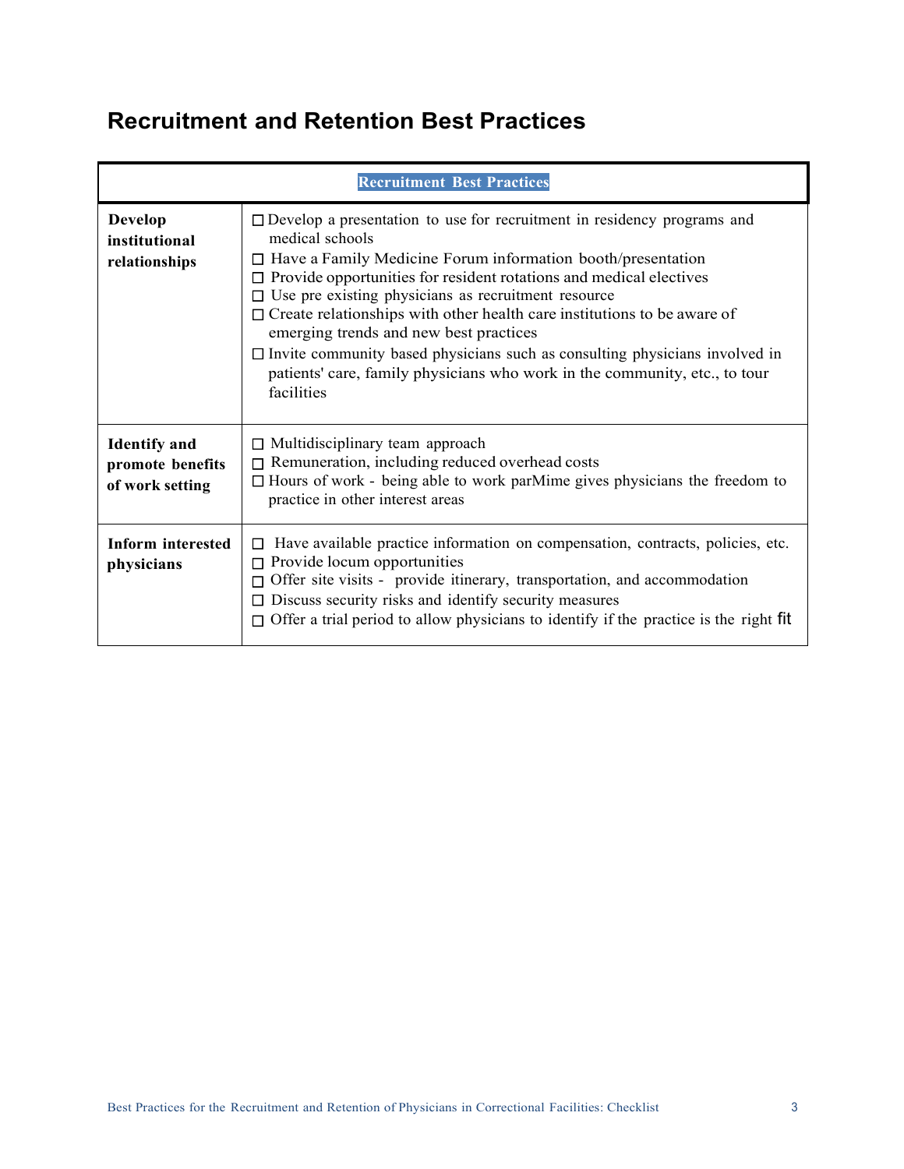# **Recruitment and Retention Best Practices**

| <b>Recruitment Best Practices</b>                          |                                                                                                                                                                                                                                                                                                                                                                                                                                                                                                                                                                                                                           |
|------------------------------------------------------------|---------------------------------------------------------------------------------------------------------------------------------------------------------------------------------------------------------------------------------------------------------------------------------------------------------------------------------------------------------------------------------------------------------------------------------------------------------------------------------------------------------------------------------------------------------------------------------------------------------------------------|
| <b>Develop</b><br>institutional<br>relationships           | $\Box$ Develop a presentation to use for recruitment in residency programs and<br>medical schools<br>$\Box$ Have a Family Medicine Forum information booth/presentation<br>Provide opportunities for resident rotations and medical electives<br>$\Box$ Use pre existing physicians as recruitment resource<br>$\Box$ Create relationships with other health care institutions to be aware of<br>emerging trends and new best practices<br>$\Box$ Invite community based physicians such as consulting physicians involved in<br>patients' care, family physicians who work in the community, etc., to tour<br>facilities |
| <b>Identify</b> and<br>promote benefits<br>of work setting | $\Box$ Multidisciplinary team approach<br>Remuneration, including reduced overhead costs<br>$\Box$ Hours of work - being able to work parMime gives physicians the freedom to<br>practice in other interest areas                                                                                                                                                                                                                                                                                                                                                                                                         |
| Inform interested<br>physicians                            | Have available practice information on compensation, contracts, policies, etc.<br>$\Box$<br>Provide locum opportunities<br>Offer site visits - provide itinerary, transportation, and accommodation<br>Discuss security risks and identify security measures<br>Offer a trial period to allow physicians to identify if the practice is the right fit                                                                                                                                                                                                                                                                     |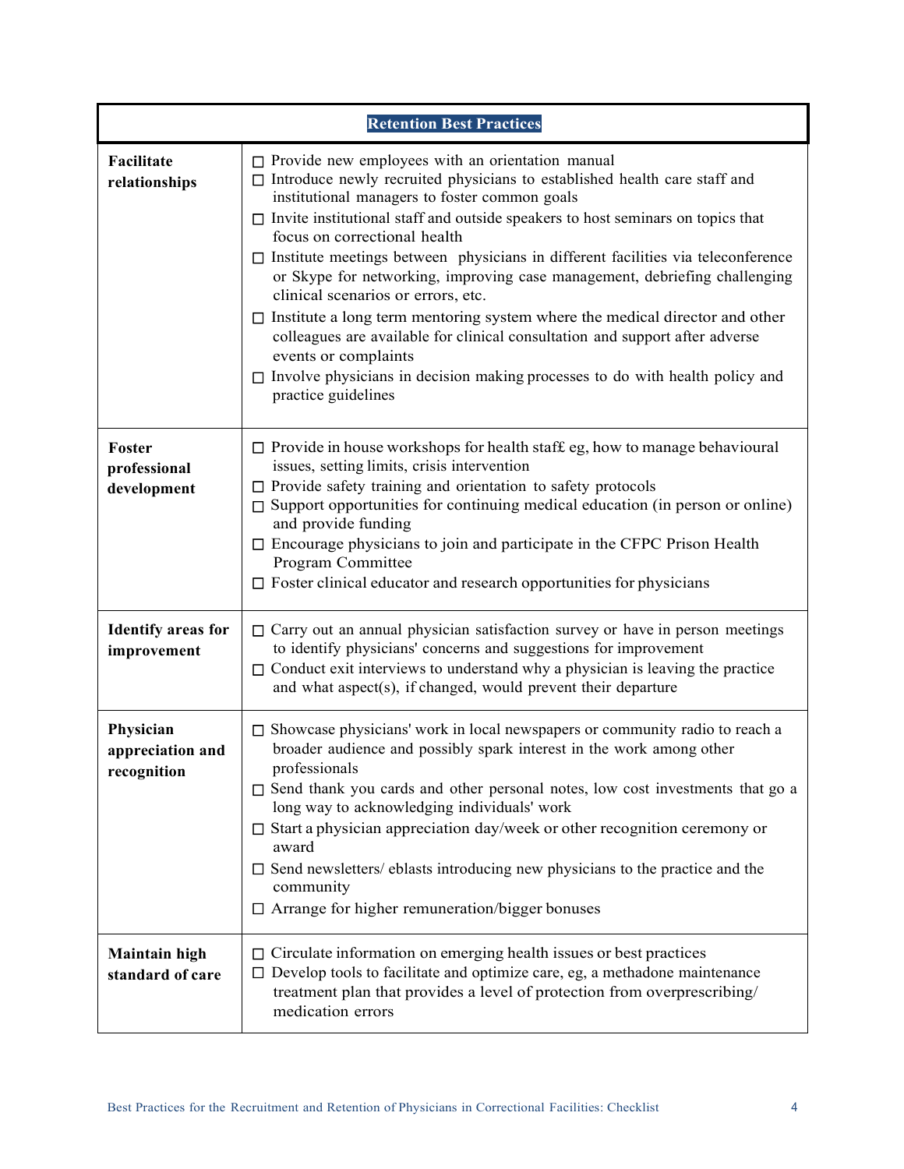| <b>Retention Best Practices</b>              |                                                                                                                                                                                                                                                                                                                                                                                                                                                                                                                                                                                                                                                                                                                                                                                                                                         |  |
|----------------------------------------------|-----------------------------------------------------------------------------------------------------------------------------------------------------------------------------------------------------------------------------------------------------------------------------------------------------------------------------------------------------------------------------------------------------------------------------------------------------------------------------------------------------------------------------------------------------------------------------------------------------------------------------------------------------------------------------------------------------------------------------------------------------------------------------------------------------------------------------------------|--|
| Facilitate<br>relationships                  | $\Box$ Provide new employees with an orientation manual<br>□ Introduce newly recruited physicians to established health care staff and<br>institutional managers to foster common goals<br>$\Box$ Invite institutional staff and outside speakers to host seminars on topics that<br>focus on correctional health<br>$\Box$ Institute meetings between physicians in different facilities via teleconference<br>or Skype for networking, improving case management, debriefing challenging<br>clinical scenarios or errors, etc.<br>$\Box$ Institute a long term mentoring system where the medical director and other<br>colleagues are available for clinical consultation and support after adverse<br>events or complaints<br>□ Involve physicians in decision making processes to do with health policy and<br>practice guidelines |  |
| Foster<br>professional<br>development        | $\Box$ Provide in house workshops for health staff eg, how to manage behavioural<br>issues, setting limits, crisis intervention<br>$\Box$ Provide safety training and orientation to safety protocols<br>Support opportunities for continuing medical education (in person or online)<br>П.<br>and provide funding<br>$\square$ Encourage physicians to join and participate in the CFPC Prison Health<br>Program Committee<br>$\Box$ Foster clinical educator and research opportunities for physicians                                                                                                                                                                                                                                                                                                                                |  |
| <b>Identify areas for</b><br>improvement     | $\Box$ Carry out an annual physician satisfaction survey or have in person meetings<br>to identify physicians' concerns and suggestions for improvement<br>$\Box$ Conduct exit interviews to understand why a physician is leaving the practice<br>and what aspect(s), if changed, would prevent their departure                                                                                                                                                                                                                                                                                                                                                                                                                                                                                                                        |  |
| Physician<br>appreciation and<br>recognition | $\Box$ Showcase physicians' work in local newspapers or community radio to reach a<br>broader audience and possibly spark interest in the work among other<br>professionals<br>$\square$ Send thank you cards and other personal notes, low cost investments that go a<br>long way to acknowledging individuals' work<br>$\Box$ Start a physician appreciation day/week or other recognition ceremony or<br>award<br>$\square$ Send newsletters/ eblasts introducing new physicians to the practice and the<br>community<br>□ Arrange for higher remuneration/bigger bonuses                                                                                                                                                                                                                                                            |  |
| <b>Maintain high</b><br>standard of care     | $\Box$ Circulate information on emerging health issues or best practices<br>$\Box$ Develop tools to facilitate and optimize care, eg, a methadone maintenance<br>treatment plan that provides a level of protection from overprescribing/<br>medication errors                                                                                                                                                                                                                                                                                                                                                                                                                                                                                                                                                                          |  |